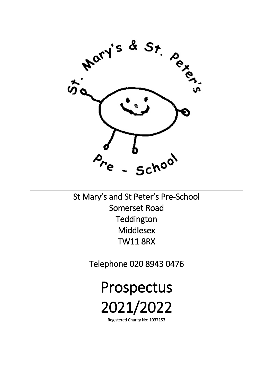

St Mary's and St Peter's Pre-School Somerset Road **Teddington Middlesex** TW11 8RX

Telephone 020 8943 0476

Prospectus 2021/2022

Registered Charity No: 1037153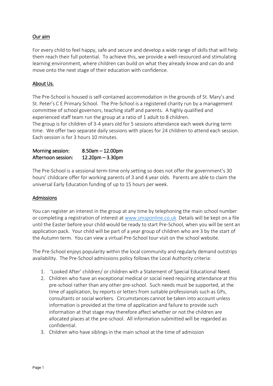# Our aim

For every child to feel happy, safe and secure and develop a wide range of skills that will help them reach their full potential. To achieve this, we provide a well-resourced and stimulating learning environment, where children can build on what they already know and can do and move onto the next stage of their education with confidence.

# About Us.

The Pre-School is housed is self-contained accommodation in the grounds of St. Mary's and St. Peter's C E Primary School. The Pre-School is a registered charity run by a management committee of school governors, teaching staff and parents. A highly qualified and experienced staff team run the group at a ratio of 1 adult to 8 children.

The group is for children of 3-4 years old for 5 sessions attendance each week during term time. We offer two separate daily sessions with places for 24 children to attend each session. Each session is for 3 hours 10 minutes.

| Morning session:   | $8.50$ am $-12.00$ pm |
|--------------------|-----------------------|
| Afternoon session: | $12.20$ pm $-3.30$ pm |

The Pre-School is a sessional term-time only setting so does not offer the government's 30 hours' childcare offer for working parents of 3 and 4 year olds. Parents are able to claim the universal Early Education funding of up to 15 hours per week.

# Admissions

You can register an interest in the group at any time by telephoning the main school number or completing a registration of interest at [www.smsponline.co.uk](http://www.smsponline.co.uk/) Details will be kept on a file until the Easter before your child would be ready to start Pre-School, when you will be sent an application pack. Your child will be part of a year group of children who are 3 by the start of the Autumn term. You can view a virtual Pre-School tour visit on the school website.

The Pre-School enjoys popularity within the local community and regularly demand outstrips availability. The Pre-School admissions policy follows the Local Authority criteria:

- 1. 'Looked After' children/ or children with a Statement of Special Educational Need.
- 2. Children who have an exceptional medical or social need requiring attendance at this pre-school rather than any other pre-school. Such needs must be supported, at the time of application, by reports or letters from suitable professionals such as GPs, consultants or social workers. Circumstances cannot be taken into account unless information is provided at the time of application and failure to provide such information at that stage may therefore affect whether or not the children are allocated places at the pre-school. All information submitted will be regarded as confidential.
- 3. Children who have siblings in the main school at the time of admission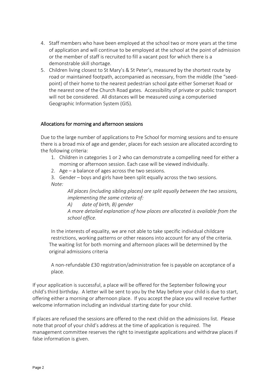- 4. Staff members who have been employed at the school two or more years at the time of application and will continue to be employed at the school at the point of admission or the member of staff is recruited to fill a vacant post for which there is a demonstrable skill shortage.
- 5. Children living closest to St Mary's & St Peter's, measured by the shortest route by road or maintained footpath, accompanied as necessary, from the middle (the "seedpoint) of their home to the nearest pedestrian school gate either Somerset Road or the nearest one of the Church Road gates. Accessibility of private or public transport will not be considered. All distances will be measured using a computerised Geographic Information System (GIS).

### Allocations for morning and afternoon sessions

Due to the large number of applications to Pre School for morning sessions and to ensure there is a broad mix of age and gender, places for each session are allocated according to the following criteria:

- 1. Children in categories 1 or 2 who can demonstrate a compelling need for either a morning or afternoon session. Each case will be viewed individually.
- 2. Age a balance of ages across the two sessions.

3. Gender – boys and girls have been split equally across the two sessions. *Note:* 

*All places (including sibling places) are split equally between the two sessions, implementing the same criteria of:* 

*A) date of birth, B) gender* 

*A more detailed explanation of how places are allocated is available from the school office.*

In the interests of equality, we are not able to take specific individual childcare restrictions, working patterns or other reasons into account for any of the criteria. The waiting list for both morning and afternoon places will be determined by the original admissions criteria

A non-refundable £30 registration/administration fee is payable on acceptance of a place.

If your application is successful, a place will be offered for the September following your child's third birthday. A letter will be sent to you by the May before your child is due to start, offering either a morning or afternoon place. If you accept the place you will receive further welcome information including an individual starting date for your child.

If places are refused the sessions are offered to the next child on the admissions list. Please note that proof of your child's address at the time of application is required. The management committee reserves the right to investigate applications and withdraw places if false information is given.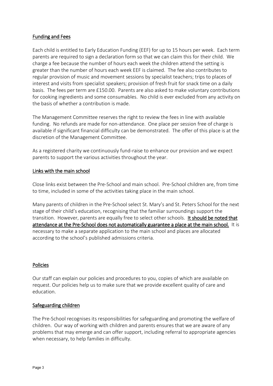# Funding and Fees

Each child is entitled to Early Education Funding (EEF) for up to 15 hours per week. Each term parents are required to sign a declaration form so that we can claim this for their child. We charge a fee because the number of hours each week the children attend the setting is greater than the number of hours each week EEF is claimed. The fee also contributes to regular provision of music and movement sessions by specialist teachers; trips to places of interest and visits from specialist speakers; provision of fresh fruit for snack time on a daily basis. The fees per term are £150.00. Parents are also asked to make voluntary contributions for cooking ingredients and some consumables. No child is ever excluded from any activity on the basis of whether a contribution is made.

The Management Committee reserves the right to review the fees in line with available funding. No refunds are made for non-attendance. One place per session free of charge is available if significant financial difficulty can be demonstrated. The offer of this place is at the discretion of the Management Committee.

As a registered charity we continuously fund-raise to enhance our provision and we expect parents to support the various activities throughout the year.

# Links with the main school

Close links exist between the Pre-School and main school. Pre-School children are, from time to time, included in some of the activities taking place in the main school.

Many parents of children in the Pre-School select St. Mary's and St. Peters School for the next stage of their child's education, recognising that the familiar surroundings support the transition. However, parents are equally free to select other schools. It should be noted that attendance at the Pre-School does not automatically guarantee a place at the main school. It is necessary to make a separate application to the main school and places are allocated according to the school's published admissions criteria.

# Policies

Our staff can explain our policies and procedures to you, copies of which are available on request. Our policies help us to make sure that we provide excellent quality of care and education.

# Safeguarding children

The Pre-School recognises its responsibilities for safeguarding and promoting the welfare of children. Our way of working with children and parents ensures that we are aware of any problems that may emerge and can offer support, including referral to appropriate agencies when necessary, to help families in difficulty.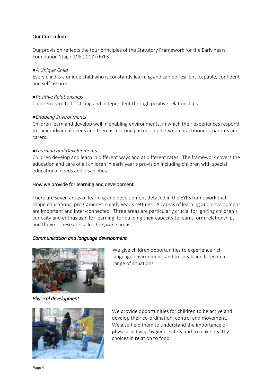# Our Curriculum

Our provision reflects the four principles of the Statutory Framework for the Early Years Foundation Stage (DfE 2017) (EYFS)

### *●A Unique Child*

Every child is a unique child who is constantly learning and can be resilient, capable, confident and self-assured.

### *●Positive Relationships*

Children learn to be strong and independent through positive relationships.

### *●Enabling Environments*

Children learn and develop well in enabling environments, in which their experiences respond to their individual needs and there is a strong partnership between practitioners, parents and carers.

### *●Learning and Developments*

Children develop and learn in different ways and at different rates. The framework covers the education and care of all children in early year's provision including children with special educational needs and disabilities.

# How we provide for learning and development.

There are seven areas of learning and development detailed in the EYFS framework that shape educational programmes in early year's settings. All areas of learning and development are important and inter-connected. Three areas are particularly crucial for igniting children's curiosity and enthusiasm for learning, for building their capacity to learn, form relationships and thrive. These are called the *prime* areas;

# *Communication and language development*



We give children opportunities to experience rich language environment; and to speak and listen in a range of situations

*Physical development* 



We provide opportunities for children to be active and develop their co-ordination, control and movement. We also help them to understand the importance of physical activity, hygiene, safety and to make healthy choices in relation to food.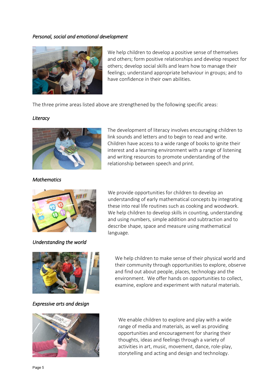#### *Personal, social and emotional development*



We help children to develop a positive sense of themselves and others; form positive relationships and develop respect for others; develop social skills and learn how to manage their feelings; understand appropriate behaviour in groups; and to have confidence in their own abilities.

The three prime areas listed above are strengthened by the following specific areas:

#### *Literacy*



The development of literacy involves encouraging children to link sounds and letters and to begin to read and write. Children have access to a wide range of books to ignite their interest and a learning environment with a range of listening and writing resources to promote understanding of the relationship between speech and print.

*Mathematics* 



*Understanding the world* 

We provide opportunities for children to develop an understanding of early mathematical concepts by integrating these into real life routines such as cooking and woodwork. We help children to develop skills in counting, understanding and using numbers, simple addition and subtraction and to describe shape, space and measure using mathematical language.



*Expressive arts and design* 

We help children to make sense of their physical world and their community through opportunities to explore, observe and find out about people, places, technology and the environment. We offer hands on opportunities to collect, examine, explore and experiment with natural materials.



We enable children to explore and play with a wide range of media and materials, as well as providing opportunities and encouragement for sharing their thoughts, ideas and feelings through a variety of activities in art, music, movement, dance, role-play, storytelling and acting and design and technology.